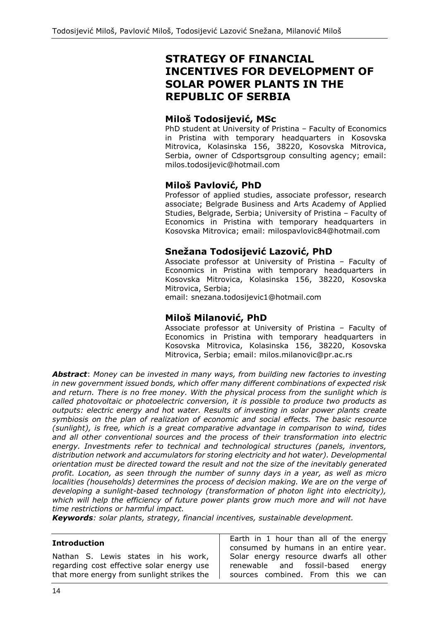# **STRATEGY OF FINANCIAL INCENTIVES FOR DEVELOPMENT OF SOLAR POWER PLANTS IN THE REPUBLIC OF SERBIA**

### **Miloš Todosijević, MSc**

PhD student at University of Pristina – Faculty of Economics in Pristina with temporary headquarters in Kosovska Mitrovica, Kolasinska 156, 38220, Kosovska Mitrovica, Serbia, owner of Cdsportsgroup consulting agency; email: milos.todosijevic@hotmail.com

# **Miloš Pavlović, PhD**

Professor of applied studies, associate professor, research associate; Belgrade Business and Arts Academy of Applied Studies, Belgrade, Serbia; University of Pristina – Faculty of Economics in Pristina with temporary headquarters in Kosovska Mitrovica; email: milospavlovic84@hotmail.com

# **Snežana Todosijević Lazović, PhD**

Associate professor at University of Pristina – Faculty of Economics in Pristina with temporary headquarters in Kosovska Mitrovica, Kolasinska 156, 38220, Kosovska Mitrovica, Serbia;

email: snezana.todosijevic1@hotmail.com

# **Miloš Milanović, PhD**

Associate professor at University of Pristina – Faculty of Economics in Pristina with temporary headquarters in Kosovska Mitrovica, Kolasinska 156, 38220, Kosovska Mitrovica, Serbia; email: milos.milanovic@pr.ac.rs

*Abstract*: *Money can be invested in many ways, from building new factories to investing in new government issued bonds, which offer many different combinations of expected risk*  and return. There is no free money. With the physical process from the sunlight which is *called photovoltaic or photoelectric conversion, it is possible to produce two products as outputs: electric energy and hot water. Results of investing in solar power plants create symbiosis on the plan of realization of economic and social effects. The basic resource (sunlight), is free, which is a great comparative advantage in comparison to wind, tides and all other conventional sources and the process of their transformation into electric energy. Investments refer to technical and technological structures (panels, inventors, distribution network and accumulators for storing electricity and hot water). Developmental orientation must be directed toward the result and not the size of the inevitably generated profit. Location, as seen through the number of sunny days in a year, as well as micro localities (households) determines the process of decision making. We are on the verge of developing a sunlight-based technology (transformation of photon light into electricity), which will help the efficiency of future power plants grow much more and will not have time restrictions or harmful impact.* 

*Keywords: solar plants, strategy, financial incentives, sustainable development.*

#### **Introduction**

Nathan S. Lewis states in his work, regarding cost effective solar energy use that more energy from sunlight strikes the

Earth in 1 hour than all of the energy consumed by humans in an entire year. Solar energy resource dwarfs all other renewable and fossil-based energy sources combined. From this we can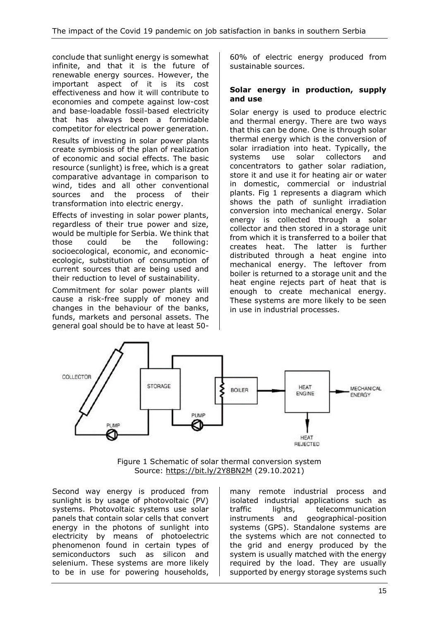conclude that sunlight energy is somewhat infinite, and that it is the future of renewable energy sources. However, the important aspect of it is its cost effectiveness and how it will contribute to economies and compete against low-cost and base-loadable fossil-based electricity that has always been a formidable competitor for electrical power generation. Results of investing in solar power plants create symbiosis of the plan of realization of economic and social effects. The basic resource (sunlight) is free, which is a great comparative advantage in comparison to wind, tides and all other conventional sources and the process of their transformation into electric energy.

Effects of investing in solar power plants, regardless of their true power and size, would be multiple for Serbia. We think that those could be the following: socioecological, economic, and economicecologic, substitution of consumption of current sources that are being used and their reduction to level of sustainability.

Commitment for solar power plants will cause a risk-free supply of money and changes in the behaviour of the banks, funds, markets and personal assets. The general goal should be to have at least 5060% of electric energy produced from sustainable sources.

#### **Solar energy in production, supply and use**

Solar energy is used to produce electric and thermal energy. There are two ways that this can be done. One is through solar thermal energy which is the conversion of solar irradiation into heat. Typically, the systems use solar collectors and concentrators to gather solar radiation, store it and use it for heating air or water in domestic, commercial or industrial plants. Fig 1 represents a diagram which shows the path of sunlight irradiation conversion into mechanical energy. Solar energy is collected through a solar collector and then stored in a storage unit from which it is transferred to a boiler that creates heat. The latter is further distributed through a heat engine into mechanical energy. The leftover from boiler is returned to a storage unit and the heat engine rejects part of heat that is enough to create mechanical energy. These systems are more likely to be seen in use in industrial processes.



Figure 1 Schematic of solar thermal conversion system Source:<https://bit.ly/2Y8BN2M> (29.10.2021)

Second way energy is produced from sunlight is by usage of photovoltaic (PV) systems. Photovoltaic systems use solar panels that contain solar cells that convert energy in the photons of sunlight into electricity by means of photoelectric phenomenon found in certain types of semiconductors such as silicon and selenium. These systems are more likely to be in use for powering households,

many remote industrial process and isolated industrial applications such as traffic lights, telecommunication instruments and geographical-position systems (GPS). Standalone systems are the systems which are not connected to the grid and energy produced by the system is usually matched with the energy required by the load. They are usually supported by energy storage systems such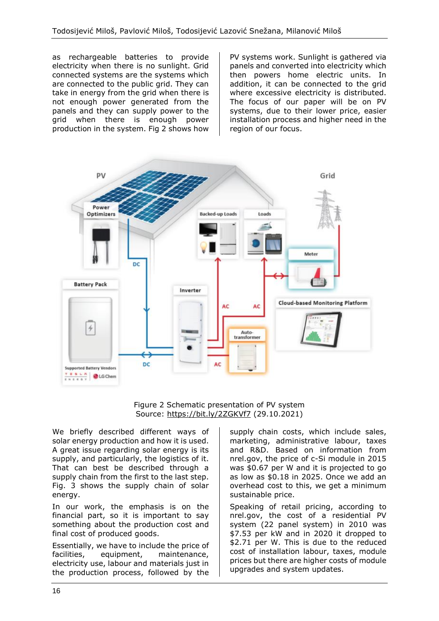as rechargeable batteries to provide electricity when there is no sunlight. Grid connected systems are the systems which are connected to the public grid. They can take in energy from the grid when there is not enough power generated from the panels and they can supply power to the grid when there is enough power production in the system. Fig 2 shows how PV systems work. Sunlight is gathered via panels and converted into electricity which then powers home electric units. In addition, it can be connected to the grid where excessive electricity is distributed. The focus of our paper will be on PV systems, due to their lower price, easier installation process and higher need in the region of our focus.



Figure 2 Schematic presentation of PV system Source:<https://bit.ly/2ZGKVf7> (29.10.2021)

We briefly described different ways of solar energy production and how it is used. A great issue regarding solar energy is its supply, and particularly, the logistics of it. That can best be described through a supply chain from the first to the last step. Fig. 3 shows the supply chain of solar energy.

In our work, the emphasis is on the financial part, so it is important to say something about the production cost and final cost of produced goods.

Essentially, we have to include the price of facilities, equipment, maintenance, electricity use, labour and materials just in the production process, followed by the

supply chain costs, which include sales, marketing, administrative labour, taxes and R&D. Based on information from nrel.gov, the price of c-Si module in 2015 was \$0.67 per W and it is projected to go as low as \$0.18 in 2025. Once we add an overhead cost to this, we get a minimum sustainable price.

Speaking of retail pricing, according to nrel.gov, the cost of a residential PV system (22 panel system) in 2010 was \$7.53 per kW and in 2020 it dropped to \$2.71 per W. This is due to the reduced cost of installation labour, taxes, module prices but there are higher costs of module upgrades and system updates.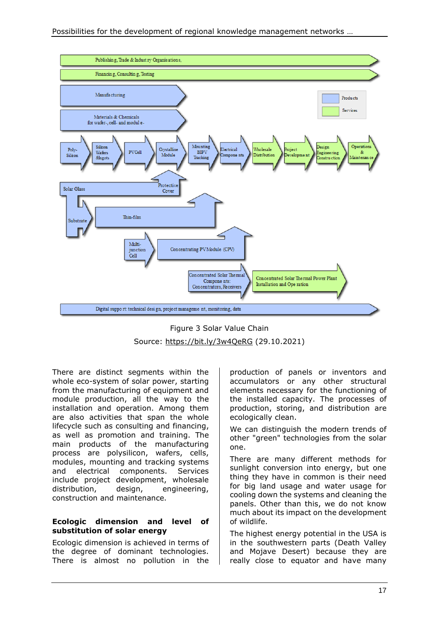

Figure 3 Solar Value Chain Source:<https://bit.ly/3w4QeRG> (29.10.2021)

There are distinct segments within the whole eco-system of solar power, starting from the manufacturing of equipment and module production, all the way to the installation and operation. Among them are also activities that span the whole lifecycle such as consulting and financing, as well as promotion and training. The main products of the manufacturing process are polysilicon, wafers, cells, modules, mounting and tracking systems and electrical components. Services include project development, wholesale distribution, design, engineering, construction and maintenance.

#### **Ecologic dimension and level of substitution of solar energy**

Ecologic dimension is achieved in terms of the degree of dominant technologies. There is almost no pollution in the production of panels or inventors and accumulators or any other structural elements necessary for the functioning of the installed capacity. The processes of production, storing, and distribution are ecologically clean.

We can distinguish the modern trends of other "green" technologies from the solar one.

There are many different methods for sunlight conversion into energy, but one thing they have in common is their need for big land usage and water usage for cooling down the systems and cleaning the panels. Other than this, we do not know much about its impact on the development of wildlife.

The highest energy potential in the USA is in the southwestern parts (Death Valley and Mojave Desert) because they are really close to equator and have many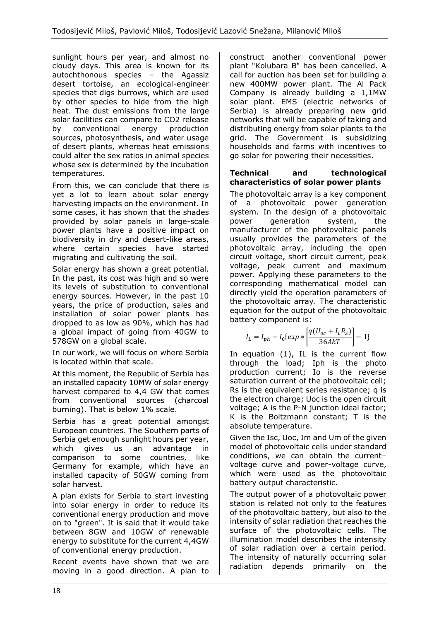sunlight hours per year, and almost no cloudy days. This area is known for its autochthonous species – the Agassiz desert tortoise, an ecological-engineer species that digs burrows, which are used by other species to hide from the high heat. The dust emissions from the large solar facilities can compare to CO2 release by conventional energy production sources, photosynthesis, and water usage of desert plants, whereas heat emissions could alter the sex ratios in animal species whose sex is determined by the incubation temperatures.

From this, we can conclude that there is yet a lot to learn about solar energy harvesting impacts on the environment. In some cases, it has shown that the shades provided by solar panels in large-scale power plants have a positive impact on biodiversity in dry and desert-like areas, where certain species have started migrating and cultivating the soil.

Solar energy has shown a great potential. In the past, its cost was high and so were its levels of substitution to conventional energy sources. However, in the past 10 years, the price of production, sales and installation of solar power plants has dropped to as low as 90%, which has had a global impact of going from 40GW to 578GW on a global scale.

In our work, we will focus on where Serbia is located within that scale.

At this moment, the Republic of Serbia has an installed capacity 10MW of solar energy harvest compared to 4,4 GW that comes from conventional sources (charcoal burning). That is below 1% scale.

Serbia has a great potential amongst European countries. The Southern parts of Serbia get enough sunlight hours per year, which gives us an advantage in comparison to some countries, like Germany for example, which have an installed capacity of 50GW coming from solar harvest.

A plan exists for Serbia to start investing into solar energy in order to reduce its conventional energy production and move on to "green". It is said that it would take between 8GW and 10GW of renewable energy to substitute for the current 4,4GW of conventional energy production.

Recent events have shown that we are moving in a good direction. A plan to construct another conventional power plant "Kolubara B" has been cancelled. A call for auction has been set for building a new 400MW power plant. The Al Pack Company is already building a 1,1MW solar plant. EMS (electric networks of Serbia) is already preparing new grid networks that will be capable of taking and distributing energy from solar plants to the grid. The Government is subsidizing households and farms with incentives to go solar for powering their necessities.

#### **Technical and technological characteristics of solar power plants**

The photovoltaic array is a key component of a photovoltaic power generation system. In the design of a photovoltaic power generation system, the manufacturer of the photovoltaic panels usually provides the parameters of the photovoltaic array, including the open circuit voltage, short circuit current, peak voltage, peak current and maximum power. Applying these parameters to the corresponding mathematical model can directly yield the operation parameters of the photovoltaic array. The characteristic equation for the output of the photovoltaic battery component is:

$$
I_{L} = I_{ph} - I_{0} \{ exp \ast \left[ \frac{q(U_{oc} + I_{L}R_{S})}{36AKT} \right] - 1 \}
$$

In equation (1), IL is the current flow through the load; Iph is the photo production current; Io is the reverse saturation current of the photovoltaic cell; Rs is the equivalent series resistance; q is the electron charge; Uoc is the open circuit voltage; A is the P-N junction ideal factor; K is the Boltzmann constant; T is the absolute temperature.

Given the Isc, Uoc, Im and Um of the given model of photovoltaic cells under standard conditions, we can obtain the current– voltage curve and power-voltage curve, which were used as the photovoltaic battery output characteristic.

The output power of a photovoltaic power station is related not only to the features of the photovoltaic battery, but also to the intensity of solar radiation that reaches the surface of the photovoltaic cells. The illumination model describes the intensity of solar radiation over a certain period. The intensity of naturally occurring solar radiation depends primarily on the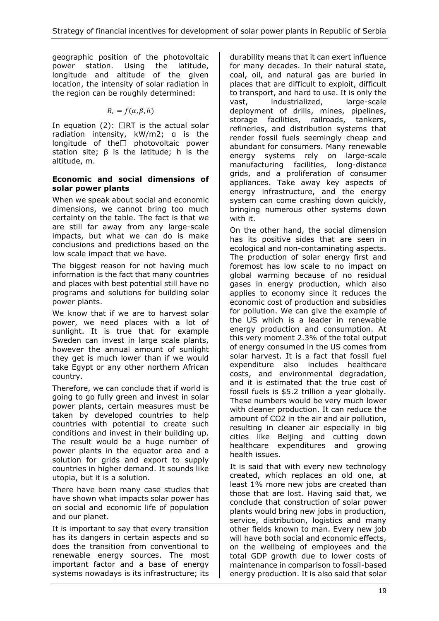geographic position of the photovoltaic power station. Using the latitude, longitude and altitude of the given location, the intensity of solar radiation in the region can be roughly determined:

$$
R_r = f(\alpha, \beta, h)
$$

In equation (2):  $\Box$ RT is the actual solar radiation intensity, kW/m2; α is the longitude of the $\square$  photovoltaic power station site; β is the latitude; h is the altitude, m.

#### **Economic and social dimensions of solar power plants**

When we speak about social and economic dimensions, we cannot bring too much certainty on the table. The fact is that we are still far away from any large-scale impacts, but what we can do is make conclusions and predictions based on the low scale impact that we have.

The biggest reason for not having much information is the fact that many countries and places with best potential still have no programs and solutions for building solar power plants.

We know that if we are to harvest solar power, we need places with a lot of sunlight. It is true that for example Sweden can invest in large scale plants, however the annual amount of sunlight they get is much lower than if we would take Egypt or any other northern African country.

Therefore, we can conclude that if world is going to go fully green and invest in solar power plants, certain measures must be taken by developed countries to help countries with potential to create such conditions and invest in their building up. The result would be a huge number of power plants in the equator area and a solution for grids and export to supply countries in higher demand. It sounds like utopia, but it is a solution.

There have been many case studies that have shown what impacts solar power has on social and economic life of population and our planet.

It is important to say that every transition has its dangers in certain aspects and so does the transition from conventional to renewable energy sources. The most important factor and a base of energy systems nowadays is its infrastructure; its durability means that it can exert influence for many decades. In their natural state, coal, oil, and natural gas are buried in places that are difficult to exploit, difficult to transport, and hard to use. It is only the vast, industrialized, large-scale deployment of drills, mines, pipelines, storage facilities, railroads, tankers, refineries, and distribution systems that render fossil fuels seemingly cheap and abundant for consumers. Many renewable energy systems rely on large-scale manufacturing facilities, long-distance grids, and a proliferation of consumer appliances. Take away key aspects of energy infrastructure, and the energy system can come crashing down quickly, bringing numerous other systems down with it.

On the other hand, the social dimension has its positive sides that are seen in ecological and non-contaminating aspects. The production of solar energy first and foremost has low scale to no impact on global warming because of no residual gases in energy production, which also applies to economy since it reduces the economic cost of production and subsidies for pollution. We can give the example of the US which is a leader in renewable energy production and consumption. At this very moment 2.3% of the total output of energy consumed in the US comes from solar harvest. It is a fact that fossil fuel expenditure also includes healthcare costs, and environmental degradation, and it is estimated that the true cost of fossil fuels is \$5.2 trillion a year globally. These numbers would be very much lower with cleaner production. It can reduce the amount of CO2 in the air and air pollution, resulting in cleaner air especially in big cities like Beijing and cutting down healthcare expenditures and growing health issues.

It is said that with every new technology created, which replaces an old one, at least 1% more new jobs are created than those that are lost. Having said that, we conclude that construction of solar power plants would bring new jobs in production, service, distribution, logistics and many other fields known to man. Every new job will have both social and economic effects. on the wellbeing of employees and the total GDP growth due to lower costs of maintenance in comparison to fossil-based energy production. It is also said that solar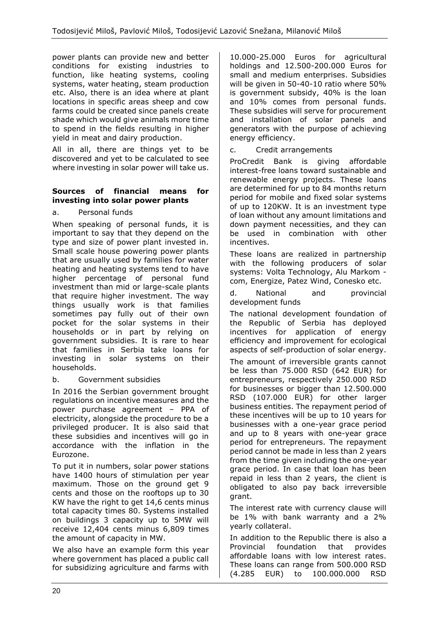power plants can provide new and better conditions for existing industries to function, like heating systems, cooling systems, water heating, steam production etc. Also, there is an idea where at plant locations in specific areas sheep and cow farms could be created since panels create shade which would give animals more time to spend in the fields resulting in higher yield in meat and dairy production.

All in all, there are things yet to be discovered and yet to be calculated to see where investing in solar power will take us.

#### **Sources of financial means for investing into solar power plants**

### a. Personal funds

When speaking of personal funds, it is important to say that they depend on the type and size of power plant invested in. Small scale house powering power plants that are usually used by families for water heating and heating systems tend to have higher percentage of personal fund investment than mid or large-scale plants that require higher investment. The way things usually work is that families sometimes pay fully out of their own pocket for the solar systems in their households or in part by relying on government subsidies. It is rare to hear that families in Serbia take loans for investing in solar systems on their households.

#### b. Government subsidies

In 2016 the Serbian government brought regulations on incentive measures and the power purchase agreement – PPA of electricity, alongside the procedure to be a privileged producer. It is also said that these subsidies and incentives will go in accordance with the inflation in the Eurozone.

To put it in numbers, solar power stations have 1400 hours of stimulation per year maximum. Those on the ground get 9 cents and those on the rooftops up to 30 KW have the right to get 14,6 cents minus total capacity times 80. Systems installed on buildings 3 capacity up to 5MW will receive 12,404 cents minus 6,809 times the amount of capacity in MW.

We also have an example form this year where government has placed a public call for subsidizing agriculture and farms with 10.000-25.000 Euros for agricultural holdings and 12.500-200.000 Euros for small and medium enterprises. Subsidies will be given in 50-40-10 ratio where 50% is government subsidy, 40% is the loan and 10% comes from personal funds. These subsidies will serve for procurement and installation of solar panels and generators with the purpose of achieving energy efficiency.

#### c. Credit arrangements

ProCredit Bank is giving affordable interest-free loans toward sustainable and renewable energy projects. These loans are determined for up to 84 months return period for mobile and fixed solar systems of up to 120KW. It is an investment type of loan without any amount limitations and down payment necessities, and they can be used in combination with other incentives.

These loans are realized in partnership with the following producers of solar systems: Volta Technology, Alu Markom com, Energize, Patez Wind, Conesko etc.

d. National and provincial development funds

The national development foundation of the Republic of Serbia has deployed incentives for application of energy efficiency and improvement for ecological aspects of self-production of solar energy.

The amount of irreversible grants cannot be less than 75.000 RSD (642 EUR) for entrepreneurs, respectively 250.000 RSD for businesses or bigger than 12.500.000 RSD (107.000 EUR) for other larger business entities. The repayment period of these incentives will be up to 10 years for businesses with a one-year grace period and up to 8 years with one-year grace period for entrepreneurs. The repayment period cannot be made in less than 2 years from the time given including the one-year grace period. In case that loan has been repaid in less than 2 years, the client is obligated to also pay back irreversible grant.

The interest rate with currency clause will be 1% with bank warranty and a 2% yearly collateral.

In addition to the Republic there is also a Provincial foundation that provides affordable loans with low interest rates. These loans can range from 500.000 RSD (4.285 EUR) to 100.000.000 RSD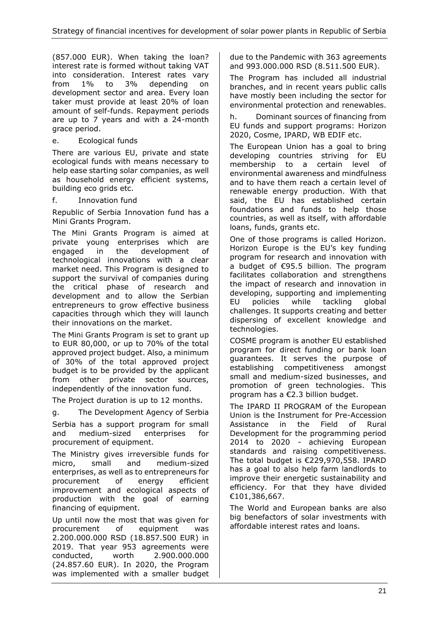(857.000 EUR). When taking the loan? interest rate is formed without taking VAT into consideration. Interest rates vary from 1% to 3% depending on development sector and area. Every loan taker must provide at least 20% of loan amount of self-funds. Repayment periods are up to 7 years and with a 24-month grace period.

e. Ecological funds

There are various EU, private and state ecological funds with means necessary to help ease starting solar companies, as well as household energy efficient systems, building eco grids etc.

f. Innovation fund

Republic of Serbia Innovation fund has a Mini Grants Program.

The Mini Grants Program is aimed at private young enterprises which are engaged in the development of technological innovations with a clear market need. This Program is designed to support the survival of companies during the critical phase of research and development and to allow the Serbian entrepreneurs to grow effective business capacities through which they will launch their innovations on the market.

The Mini Grants Program is set to grant up to EUR 80,000, or up to 70% of the total approved project budget. Also, a minimum of 30% of the total approved project budget is to be provided by the applicant from other private sector sources, independently of the innovation fund.

The Project duration is up to 12 months.

g. The Development Agency of Serbia Serbia has a support program for small and medium-sized enterprises for procurement of equipment.

The Ministry gives irreversible funds for micro, small and medium-sized enterprises, as well as to entrepreneurs for procurement of energy efficient improvement and ecological aspects of production with the goal of earning financing of equipment.

Up until now the most that was given for<br>procurement of equipment was procurement of equipment was 2.200.000.000 RSD (18.857.500 EUR) in 2019. That year 953 agreements were conducted, worth 2.900.000.000 (24.857.60 EUR). In 2020, the Program was implemented with a smaller budget

due to the Pandemic with 363 agreements and 993.000.000 RSD (8.511.500 EUR).

The Program has included all industrial branches, and in recent years public calls have mostly been including the sector for environmental protection and renewables.

h. Dominant sources of financing from EU funds and support programs: Horizon 2020, Cosme, IPARD, WB EDIF etc.

The European Union has a goal to bring developing countries striving for EU membership to a certain level of environmental awareness and mindfulness and to have them reach a certain level of renewable energy production. With that said, the EU has established certain foundations and funds to help those countries, as well as itself, with affordable loans, funds, grants etc.

One of those programs is called Horizon. Horizon Europe is the EU's key funding program for research and innovation with a budget of €95.5 billion. The program facilitates collaboration and strengthens the impact of research and innovation in developing, supporting and implementing EU policies while tackling global challenges. It supports creating and better dispersing of excellent knowledge and technologies.

COSME program is another EU established program for direct funding or bank loan guarantees. It serves the purpose of establishing competitiveness amongst small and medium-sized businesses, and promotion of green technologies. This program has a €2.3 billion budget.

The IPARD II PROGRAM of the European Union is the Instrument for Pre-Accession Assistance in the Field of Rural Development for the programming period 2014 to 2020 - achieving European standards and raising competitiveness. The total budget is €229,970,558. IPARD has a goal to also help farm landlords to improve their energetic sustainability and efficiency. For that they have divided €101,386,667.

The World and European banks are also big benefactors of solar investments with affordable interest rates and loans.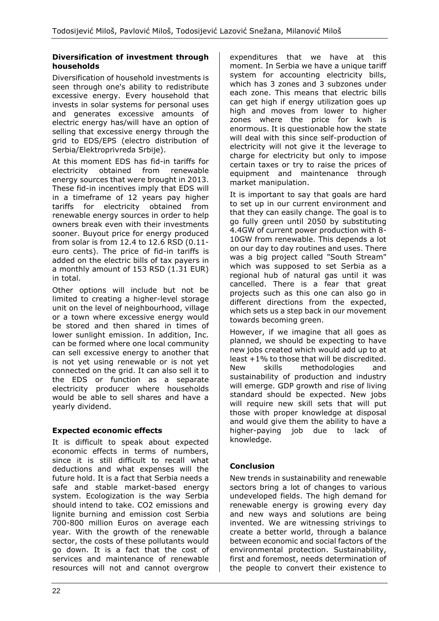#### **Diversification of investment through households**

Diversification of household investments is seen through one's ability to redistribute excessive energy. Every household that invests in solar systems for personal uses and generates excessive amounts of electric energy has/will have an option of selling that excessive energy through the grid to EDS/EPS (electro distribution of Serbia/Elektroprivreda Srbije).

At this moment EDS has fid-in tariffs for electricity obtained from renewable energy sources that were brought in 2013. These fid-in incentives imply that EDS will in a timeframe of 12 years pay higher tariffs for electricity obtained from renewable energy sources in order to help owners break even with their investments sooner. Buyout price for energy produced from solar is from 12.4 to 12.6 RSD (0.11 euro cents). The price of fid-in tariffs is added on the electric bills of tax payers in a monthly amount of 153 RSD (1.31 EUR) in total.

Other options will include but not be limited to creating a higher-level storage unit on the level of neighbourhood, village or a town where excessive energy would be stored and then shared in times of lower sunlight emission. In addition, Inc. can be formed where one local community can sell excessive energy to another that is not yet using renewable or is not yet connected on the grid. It can also sell it to the EDS or function as a separate electricity producer where households would be able to sell shares and have a yearly dividend.

# **Expected economic effects**

It is difficult to speak about expected economic effects in terms of numbers, since it is still difficult to recall what deductions and what expenses will the future hold. It is a fact that Serbia needs a safe and stable market-based energy system. Ecologization is the way Serbia should intend to take. CO2 emissions and lignite burning and emission cost Serbia 700-800 million Euros on average each year. With the growth of the renewable sector, the costs of these pollutants would go down. It is a fact that the cost of services and maintenance of renewable resources will not and cannot overgrow expenditures that we have at this moment. In Serbia we have a unique tariff system for accounting electricity bills, which has 3 zones and 3 subzones under each zone. This means that electric bills can get high if energy utilization goes up high and moves from lower to higher zones where the price for kwh is enormous. It is questionable how the state will deal with this since self-production of electricity will not give it the leverage to charge for electricity but only to impose certain taxes or try to raise the prices of equipment and maintenance through market manipulation.

It is important to say that goals are hard to set up in our current environment and that they can easily change. The goal is to go fully green until 2050 by substituting 4.4GW of current power production with 8- 10GW from renewable. This depends a lot on our day to day routines and uses. There was a big project called "South Stream" which was supposed to set Serbia as a regional hub of natural gas until it was cancelled. There is a fear that great projects such as this one can also go in different directions from the expected, which sets us a step back in our movement towards becoming green.

However, if we imagine that all goes as planned, we should be expecting to have new jobs created which would add up to at least +1% to those that will be discredited. New skills methodologies and sustainability of production and industry will emerge. GDP growth and rise of living standard should be expected. New jobs will require new skill sets that will put those with proper knowledge at disposal and would give them the ability to have a higher-paying job due to lack of knowledge.

# **Conclusion**

New trends in sustainability and renewable sectors bring a lot of changes to various undeveloped fields. The high demand for renewable energy is growing every day and new ways and solutions are being invented. We are witnessing strivings to create a better world, through a balance between economic and social factors of the environmental protection. Sustainability, first and foremost, needs determination of the people to convert their existence to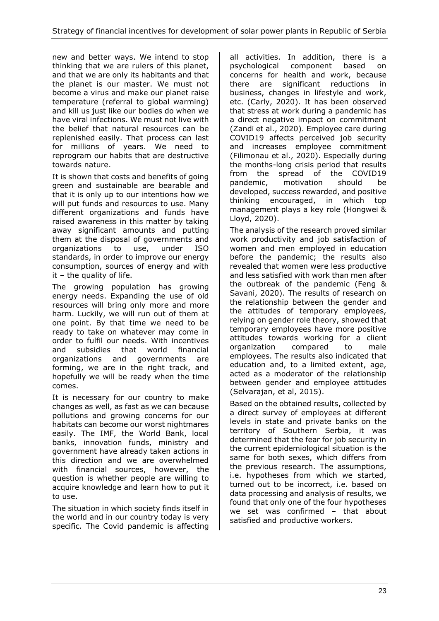new and better ways. We intend to stop thinking that we are rulers of this planet, and that we are only its habitants and that the planet is our master. We must not become a virus and make our planet raise temperature (referral to global warming) and kill us just like our bodies do when we have viral infections. We must not live with the belief that natural resources can be replenished easily. That process can last for millions of years. We need to reprogram our habits that are destructive towards nature.

It is shown that costs and benefits of going green and sustainable are bearable and that it is only up to our intentions how we will put funds and resources to use. Many different organizations and funds have raised awareness in this matter by taking away significant amounts and putting them at the disposal of governments and organizations to use, under ISO standards, in order to improve our energy consumption, sources of energy and with  $it - the quality of life.$ 

The growing population has growing energy needs. Expanding the use of old resources will bring only more and more harm. Luckily, we will run out of them at one point. By that time we need to be ready to take on whatever may come in order to fulfil our needs. With incentives and subsidies that world financial organizations and governments are forming, we are in the right track, and hopefully we will be ready when the time comes.

It is necessary for our country to make changes as well, as fast as we can because pollutions and growing concerns for our habitats can become our worst nightmares easily. The IMF, the World Bank, local banks, innovation funds, ministry and government have already taken actions in this direction and we are overwhelmed with financial sources, however, the question is whether people are willing to acquire knowledge and learn how to put it to use.

The situation in which society finds itself in the world and in our country today is very specific. The Covid pandemic is affecting all activities. In addition, there is a psychological component based on concerns for health and work, because there are significant reductions in business, changes in lifestyle and work, etc. (Carly, 2020). It has been observed that stress at work during a pandemic has a direct negative impact on commitment (Zandi et al., 2020). Employee care during COVID19 affects perceived job security and increases employee commitment (Filimonau et al., 2020). Especially during the months-long crisis period that results from the spread of the COVID19 pandemic, motivation should be developed, success rewarded, and positive thinking encouraged, in which top management plays a key role (Hongwei & Lloyd, 2020).

The analysis of the research proved similar work productivity and job satisfaction of women and men employed in education before the pandemic; the results also revealed that women were less productive and less satisfied with work than men after the outbreak of the pandemic (Feng & Savani, 2020). The results of research on the relationship between the gender and the attitudes of temporary employees, relying on gender role theory, showed that temporary employees have more positive attitudes towards working for a client organization compared to male employees. The results also indicated that education and, to a limited extent, age, acted as a moderator of the relationship between gender and employee attitudes (Selvarajan, et al, 2015).

Based on the obtained results, collected by a direct survey of employees at different levels in state and private banks on the territory of Southern Serbia, it was determined that the fear for job security in the current epidemiological situation is the same for both sexes, which differs from the previous research. The assumptions, i.e. hypotheses from which we started, turned out to be incorrect, i.e. based on data processing and analysis of results, we found that only one of the four hypotheses we set was confirmed – that about satisfied and productive workers.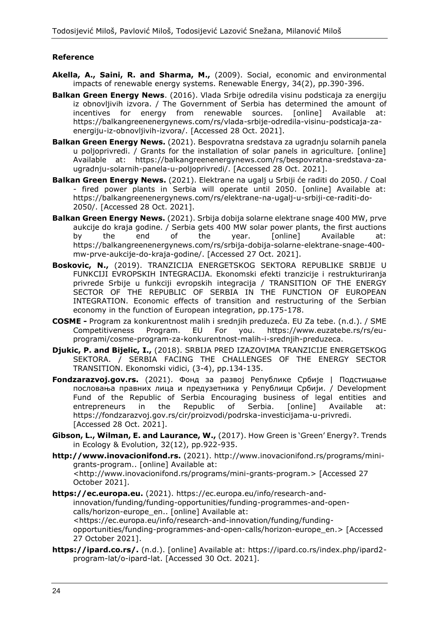# **Reference**

- **Akella, A., Saini, R. and Sharma, M.,** (2009). Social, economic and environmental impacts of renewable energy systems. Renewable Energy, 34(2), pp.390-396.
- **Balkan Green Energy News**. (2016). Vlada Srbije odredila visinu podsticaja za energiju iz obnovljivih izvora. / The Government of Serbia has determined the amount of incentives for energy from renewable sources. [online] Available at: https://balkangreenenergynews.com/rs/vlada-srbije-odredila-visinu-podsticaja-zaenergiju-iz-obnovljivih-izvora/. [Accessed 28 Oct. 2021].
- **Balkan Green Energy News.** (2021). Bespovratna sredstava za ugradnju solarnih panela u poljoprivredi. / Grants for the installation of solar panels in agriculture. [online] Available at: https://balkangreenenergynews.com/rs/bespovratna-sredstava-zaugradnju-solarnih-panela-u-poljoprivredi/. [Accessed 28 Oct. 2021].
- **Balkan Green Energy News.** (2021). Elektrane na ugalj u Srbiji će raditi do 2050. / Coal - fired power plants in Serbia will operate until 2050. [online] Available at: https://balkangreenenergynews.com/rs/elektrane-na-ugalj-u-srbiji-ce-raditi-do-2050/. [Accessed 28 Oct. 2021].
- **Balkan Green Energy News.** (2021). Srbija dobija solarne elektrane snage 400 MW, prve aukcije do kraja godine. / Serbia gets 400 MW solar power plants, the first auctions by the end of the year. [online] Available at: https://balkangreenenergynews.com/rs/srbija-dobija-solarne-elektrane-snage-400 mw-prve-aukcije-do-kraja-godine/. [Accessed 27 Oct. 2021].
- **Boskovic, N.,** (2019). TRANZICIJA ENERGETSKOG SEKTORA REPUBLIKE SRBIJE U FUNKCIJI EVROPSKIH INTEGRACIJA. Ekonomski efekti tranzicije i restrukturiranja privrede Srbije u funkciji evropskih integracija / TRANSITION OF THE ENERGY SECTOR OF THE REPUBLIC OF SERBIA IN THE FUNCTION OF EUROPEAN INTEGRATION. Economic effects of transition and restructuring of the Serbian economy in the function of European integration, pp.175-178.
- **COSME -** Program za konkurentnost malih i srednjih preduzeća. EU Za tebe. (n.d.). / SME Competitiveness Program. EU For you. https://www.euzatebe.rs/rs/euprogrami/cosme-program-za-konkurentnost-malih-i-srednjih-preduzeca.
- **Djukic, P. and Bijelic, I.,** (2018). SRBIJA PRED IZAZOVIMA TRANZICIJE ENERGETSKOG SEKTORA. / SERBIA FACING THE CHALLENGES OF THE ENERGY SECTOR TRANSITION. Ekonomski vidici, (3-4), pp.134-135.
- **Fondzarazvoj.gov.rs.** (2021). Фонд за развој Републике Србије | Подстицањe пословања правних лица и предузетника у Републици Србији. / Development Fund of the Republic of Serbia Encouraging business of legal entities and entrepreneurs in the Republic of Serbia. [online] Available at: https://fondzarazvoj.gov.rs/cir/proizvodi/podrska-investicijama-u-privredi. [Accessed 28 Oct. 2021].
- **Gibson, L., Wilman, E. and Laurance, W.,** (2017). How Green is 'Green' Energy?. Trends in Ecology & Evolution, 32(12), pp.922-935.
- **http://www.inovacionifond.rs.** (2021). http://www.inovacionifond.rs/programs/minigrants-program.. [online] Available at: <http://www.inovacionifond.rs/programs/mini-grants-program.> [Accessed 27 October 2021].
- **https://ec.europa.eu.** (2021). https://ec.europa.eu/info/research-andinnovation/funding/funding-opportunities/funding-programmes-and-opencalls/horizon-europe\_en.. [online] Available at: <https://ec.europa.eu/info/research-and-innovation/funding/fundingopportunities/funding-programmes-and-open-calls/horizon-europe\_en.> [Accessed 27 October 2021].
- **https://ipard.co.rs/.** (n.d.). [online] Available at: https://ipard.co.rs/index.php/ipard2 program-lat/o-ipard-lat. [Accessed 30 Oct. 2021].